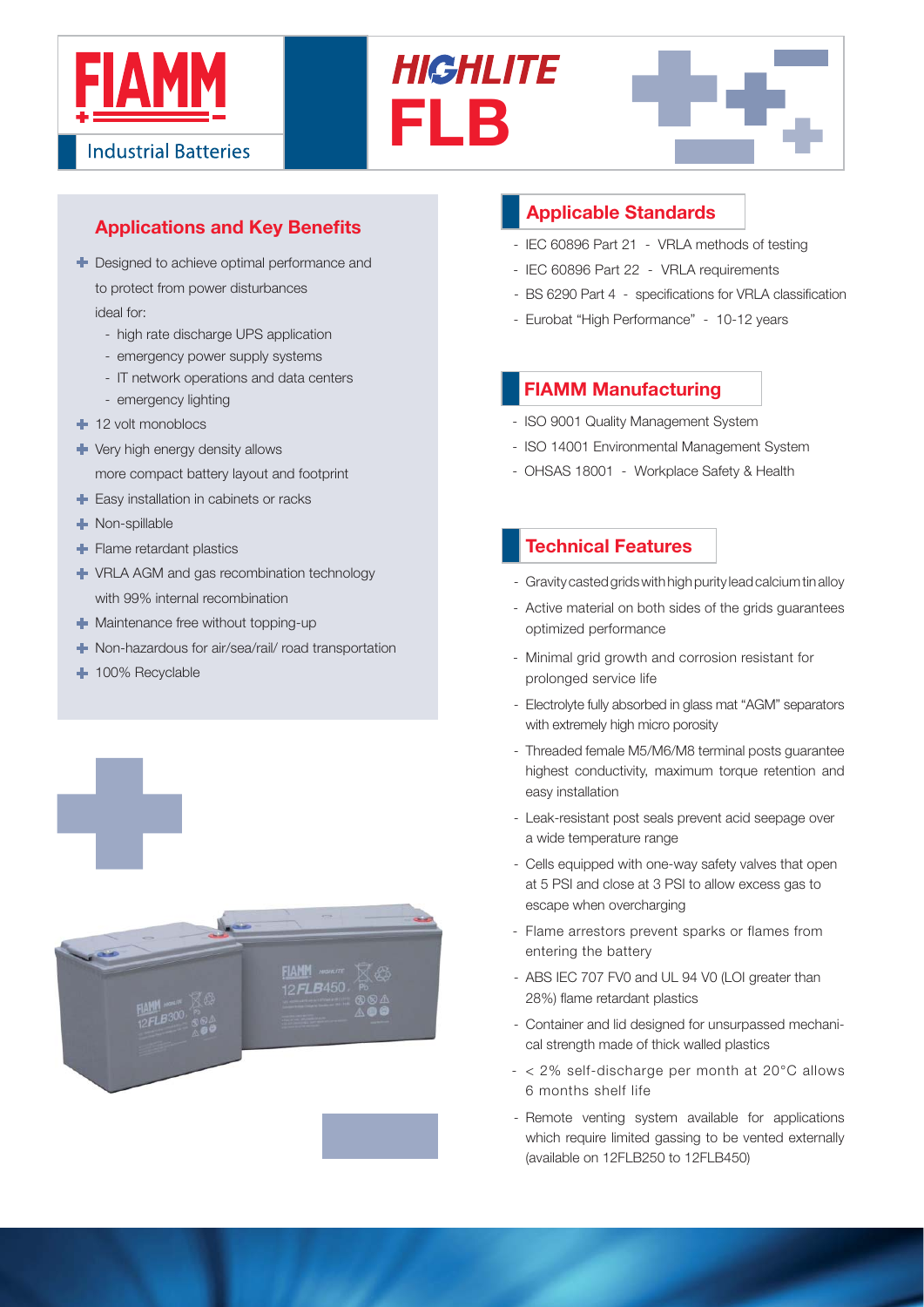

# **Applications and Key Benefits**

- **+** Designed to achieve optimal performance and to protect from power disturbances ideal for:
	- high rate discharge UPS application
	- emergency power supply systems
	- IT network operations and data centers
	- emergency lighting
- <sup>1</sup> 12 volt monoblocs
- Very high energy density allows

more compact battery layout and footprint

- Easy installation in cabinets or racks
- Non-spillable
- Flame retardant plastics
- VRLA AGM and gas recombination technology with 99% internal recombination
- $\blacksquare$  Maintenance free without topping-up
- Non-hazardous for air/sea/rail/ road transportation
- + 100% Recyclable



## **Applicable Standards**

**FLB**

**HIGHLITE** 

- IEC 60896 Part 21 VRLA methods of testing
- IEC 60896 Part 22 VRLA requirements
- BS 6290 Part 4 specifications for VRLA classification
- Eurobat "High Performance" 10-12 years

## **FIAMM Manufacturing**

- ISO 9001 Quality Management System
- ISO 14001 Environmental Management System
- OHSAS 18001 Workplace Safety & Health

### **Technical Features**

- Gravity casted grids with high purity lead calcium tin alloy
- Active material on both sides of the grids guarantees optimized performance
- Minimal grid growth and corrosion resistant for prolonged service life
- Electrolyte fully absorbed in glass mat "AGM" separators with extremely high micro porosity
- Threaded female M5/M6/M8 terminal posts guarantee highest conductivity, maximum torque retention and easy installation
- Leak-resistant post seals prevent acid seepage over a wide temperature range
- Cells equipped with one-way safety valves that open at 5 PSI and close at 3 PSI to allow excess gas to escape when overcharging
- Flame arrestors prevent sparks or flames from entering the battery
- ABS IEC 707 FV0 and UL 94 V0 (LOI greater than 28%) flame retardant plastics
- Container and lid designed for unsurpassed mechanical strength made of thick walled plastics
- $< 2\%$  self-discharge per month at 20 $^{\circ}$ C allows 6 months shelf life
- Remote venting system available for applications which require limited gassing to be vented externally (available on 12FLB250 to 12FLB450)